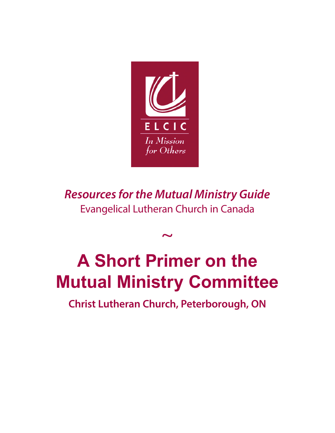

*Resources for the Mutual Ministry Guide* Evangelical Lutheran Church in Canada

 $\sim$ 

# **A Short Primer on the Mutual Ministry Committee**

**Christ Lutheran Church, Peterborough, ON**